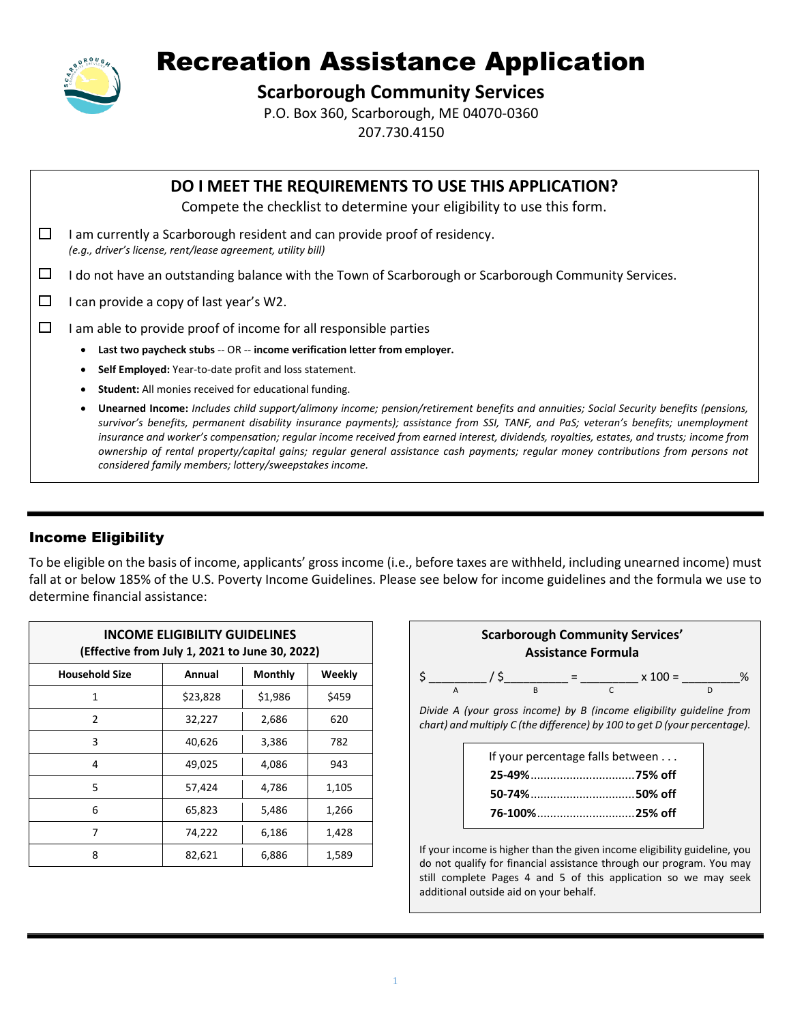

# Recreation Assistance Application

## **Scarborough Community Services**

P.O. Box 360, Scarborough, ME 04070-0360 207.730.4150

|        | DO I MEET THE REQUIREMENTS TO USE THIS APPLICATION?<br>Compete the checklist to determine your eligibility to use this form.                                                                                                                                                                                                                                                                                                                                                                                                                                                                                               |  |  |  |  |  |  |  |
|--------|----------------------------------------------------------------------------------------------------------------------------------------------------------------------------------------------------------------------------------------------------------------------------------------------------------------------------------------------------------------------------------------------------------------------------------------------------------------------------------------------------------------------------------------------------------------------------------------------------------------------------|--|--|--|--|--|--|--|
| ⊔      | am currently a Scarborough resident and can provide proof of residency.<br>(e.g., driver's license, rent/lease agreement, utility bill)                                                                                                                                                                                                                                                                                                                                                                                                                                                                                    |  |  |  |  |  |  |  |
| $\Box$ | do not have an outstanding balance with the Town of Scarborough or Scarborough Community Services.                                                                                                                                                                                                                                                                                                                                                                                                                                                                                                                         |  |  |  |  |  |  |  |
| $\Box$ | can provide a copy of last year's W2.                                                                                                                                                                                                                                                                                                                                                                                                                                                                                                                                                                                      |  |  |  |  |  |  |  |
| $\Box$ | am able to provide proof of income for all responsible parties                                                                                                                                                                                                                                                                                                                                                                                                                                                                                                                                                             |  |  |  |  |  |  |  |
|        | Last two paycheck stubs -- OR -- income verification letter from employer.                                                                                                                                                                                                                                                                                                                                                                                                                                                                                                                                                 |  |  |  |  |  |  |  |
|        | Self Employed: Year-to-date profit and loss statement.                                                                                                                                                                                                                                                                                                                                                                                                                                                                                                                                                                     |  |  |  |  |  |  |  |
|        | <b>Student:</b> All monies received for educational funding.                                                                                                                                                                                                                                                                                                                                                                                                                                                                                                                                                               |  |  |  |  |  |  |  |
|        | Unearned Income: Includes child support/alimony income; pension/retirement benefits and annuities; Social Security benefits (pensions,<br>survivor's benefits, permanent disability insurance payments); assistance from SSI, TANF, and PaS; veteran's benefits; unemployment<br>insurance and worker's compensation; regular income received from earned interest, dividends, royalties, estates, and trusts; income from<br>ownership of rental property/capital gains; regular general assistance cash payments; regular money contributions from persons not<br>considered family members; lottery/sweepstakes income. |  |  |  |  |  |  |  |

## Income Eligibility

To be eligible on the basis of income, applicants' gross income (i.e., before taxes are withheld, including unearned income) must fall at or below 185% of the U.S. Poverty Income Guidelines. Please see below for income guidelines and the formula we use to determine financial assistance:

| <b>INCOME ELIGIBILITY GUIDELINES</b><br>(Effective from July 1, 2021 to June 30, 2022) |          |                |        |  |  |  |  |
|----------------------------------------------------------------------------------------|----------|----------------|--------|--|--|--|--|
| <b>Household Size</b>                                                                  | Annual   | <b>Monthly</b> | Weekly |  |  |  |  |
| 1                                                                                      | \$23,828 | \$1,986        | \$459  |  |  |  |  |
| 2                                                                                      | 32,227   | 2,686          | 620    |  |  |  |  |
| 3                                                                                      | 40,626   | 3,386          | 782    |  |  |  |  |
| 4                                                                                      | 49,025   | 4,086          | 943    |  |  |  |  |
| 5                                                                                      | 57,424   | 4,786          | 1,105  |  |  |  |  |
| 6                                                                                      | 65,823   | 5,486          | 1,266  |  |  |  |  |
| 7                                                                                      | 74,222   | 6,186          | 1,428  |  |  |  |  |
| 8                                                                                      | 82,621   | 6,886          | 1,589  |  |  |  |  |



If your income is higher than the given income eligibility guideline, you do not qualify for financial assistance through our program. You may still complete Pages 4 and 5 of this application so we may seek additional outside aid on your behalf.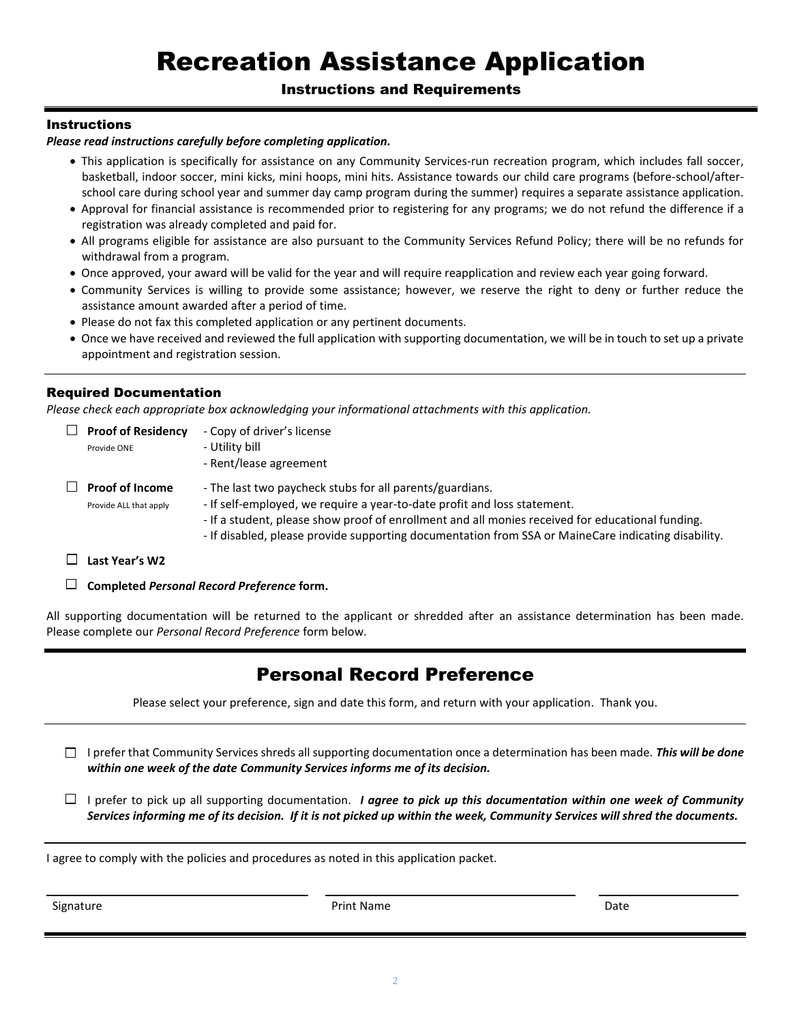# Recreation Assistance Application

### Instructions and Requirements

### **Instructions**

#### *Please read instructions carefully before completing application.*

- This application is specifically for assistance on any Community Services-run recreation program, which includes fall soccer, basketball, indoor soccer, mini kicks, mini hoops, mini hits. Assistance towards our child care programs (before-school/afterschool care during school year and summer day camp program during the summer) requires a separate assistance application.
- Approval for financial assistance is recommended prior to registering for any programs; we do not refund the difference if a registration was already completed and paid for.
- All programs eligible for assistance are also pursuant to the Community Services Refund Policy; there will be no refunds for withdrawal from a program.
- Once approved, your award will be valid for the year and will require reapplication and review each year going forward.
- Community Services is willing to provide some assistance; however, we reserve the right to deny or further reduce the assistance amount awarded after a period of time.
- Please do not fax this completed application or any pertinent documents.
- Once we have received and reviewed the full application with supporting documentation, we will be in touch to set up a private appointment and registration session.

### Required Documentation

*Please check each appropriate box acknowledging your informational attachments with this application.*

| $\perp$ | <b>Proof of Residency</b><br>Provide ONE         | - Copy of driver's license<br>- Utility bill<br>- Rent/lease agreement                                                                                                                                                                                                                                                                          |
|---------|--------------------------------------------------|-------------------------------------------------------------------------------------------------------------------------------------------------------------------------------------------------------------------------------------------------------------------------------------------------------------------------------------------------|
|         | <b>Proof of Income</b><br>Provide ALL that apply | - The last two paycheck stubs for all parents/guardians.<br>- If self-employed, we require a year-to-date profit and loss statement.<br>- If a student, please show proof of enrollment and all monies received for educational funding.<br>- If disabled, please provide supporting documentation from SSA or MaineCare indicating disability. |
|         | Last Year's W2                                   |                                                                                                                                                                                                                                                                                                                                                 |

**Completed** *Personal Record Preference* **form.**

All supporting documentation will be returned to the applicant or shredded after an assistance determination has been made. Please complete our *Personal Record Preference* form below.

# Personal Record Preference

Please select your preference, sign and date this form, and return with your application. Thank you.

I prefer that Community Services shreds all supporting documentation once a determination has been made. *This will be done within one week of the date Community Services informs me of its decision.*

 $\Box$  I prefer to pick up all supporting documentation. *I agree to pick up this documentation within one week of Community Services informing me of its decision. If it is not picked up within the week, Community Services will shred the documents.*

I agree to comply with the policies and procedures as noted in this application packet.

Signature **Print Name** Date **Print Name** Print Name **Date Date**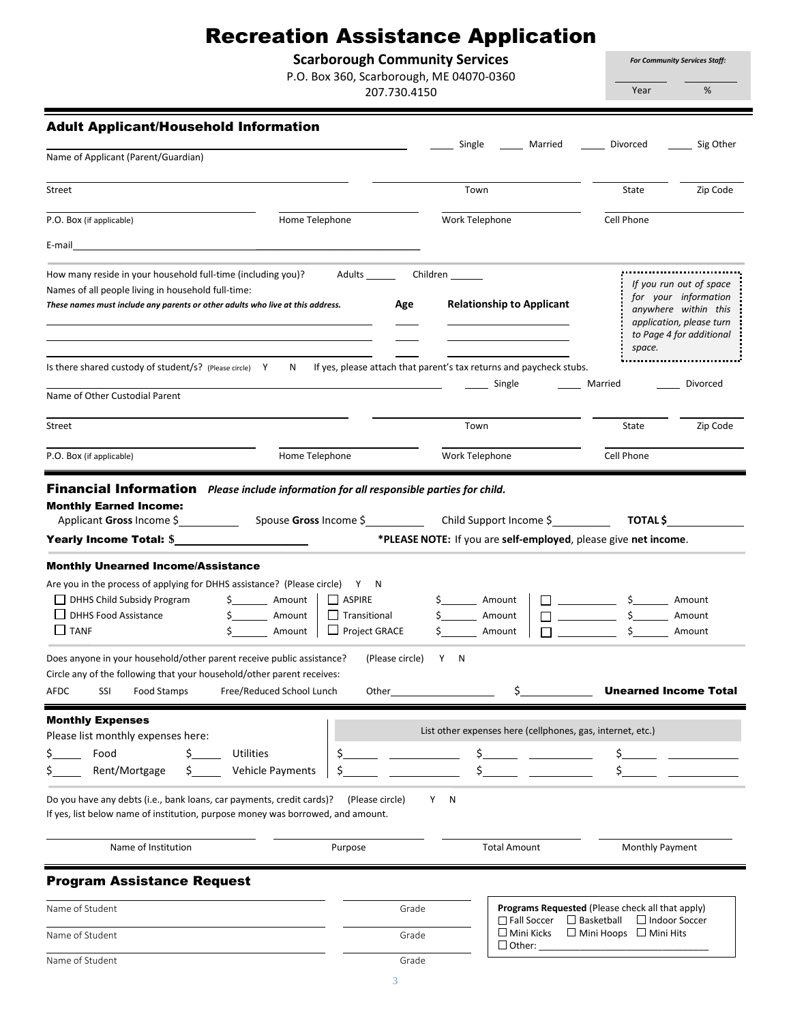# Recreation Assistance Application

**Scarborough Community Services**

P.O. Box 360, Scarborough, ME 04070-0360

207.730.4150

*For Community Services Staff:*

Year %

|  |  |  |  | Adult Applicant/Household Information |
|--|--|--|--|---------------------------------------|
|--|--|--|--|---------------------------------------|

| Auun Appncanunvusenviu miorinauvii                                                                                                                                                                                                                                                                                                |                                                               |                                                                                          | Single                                                                                                                                    | Married                                                                                                        | Divorced                                                                                                                                                                                              | Sig Other                                                  |  |
|-----------------------------------------------------------------------------------------------------------------------------------------------------------------------------------------------------------------------------------------------------------------------------------------------------------------------------------|---------------------------------------------------------------|------------------------------------------------------------------------------------------|-------------------------------------------------------------------------------------------------------------------------------------------|----------------------------------------------------------------------------------------------------------------|-------------------------------------------------------------------------------------------------------------------------------------------------------------------------------------------------------|------------------------------------------------------------|--|
| Name of Applicant (Parent/Guardian)                                                                                                                                                                                                                                                                                               |                                                               |                                                                                          |                                                                                                                                           |                                                                                                                |                                                                                                                                                                                                       |                                                            |  |
| Street                                                                                                                                                                                                                                                                                                                            |                                                               |                                                                                          | Town                                                                                                                                      |                                                                                                                | State                                                                                                                                                                                                 | Zip Code                                                   |  |
| Home Telephone<br>P.O. Box (if applicable)                                                                                                                                                                                                                                                                                        |                                                               |                                                                                          | Work Telephone                                                                                                                            |                                                                                                                | Cell Phone                                                                                                                                                                                            |                                                            |  |
| E-mail                                                                                                                                                                                                                                                                                                                            |                                                               |                                                                                          |                                                                                                                                           |                                                                                                                |                                                                                                                                                                                                       |                                                            |  |
| How many reside in your household full-time (including you)?<br>Names of all people living in household full-time:<br>These names must include any parents or other adults who live at this address.                                                                                                                              | Adults Children<br>Age                                        | <b>Relationship to Applicant</b>                                                         | If you run out of space<br>for your information<br>anywhere within this<br>application, please turn<br>to Page 4 for additional<br>space. |                                                                                                                |                                                                                                                                                                                                       |                                                            |  |
| Is there shared custody of student/s? (Please circle) Y                                                                                                                                                                                                                                                                           |                                                               |                                                                                          |                                                                                                                                           | N If yes, please attach that parent's tax returns and paycheck stubs.                                          |                                                                                                                                                                                                       |                                                            |  |
| Name of Other Custodial Parent                                                                                                                                                                                                                                                                                                    |                                                               |                                                                                          |                                                                                                                                           | Single                                                                                                         | Married                                                                                                                                                                                               | Divorced                                                   |  |
| Street                                                                                                                                                                                                                                                                                                                            |                                                               |                                                                                          | Town                                                                                                                                      |                                                                                                                | State                                                                                                                                                                                                 | Zip Code                                                   |  |
| P.O. Box (if applicable)                                                                                                                                                                                                                                                                                                          | Home Telephone                                                |                                                                                          | Work Telephone                                                                                                                            |                                                                                                                | Cell Phone                                                                                                                                                                                            |                                                            |  |
| Are you in the process of applying for DHHS assistance? (Please circle) Y N<br>DHHS Child Subsidy Program<br>DHHS Food Assistance<br>$\Box$ TANF<br>Does anyone in your household/other parent receive public assistance?<br>Circle any of the following that your household/other parent receives:<br>AFDC<br>SSI<br>Food Stamps | \$ Amount<br>\$ Amount<br>Amount<br>Free/Reduced School Lunch | $\Box$ ASPIRE<br>$\Box$ Transitional<br>$\Box$ Project GRACE<br>(Please circle)<br>Other | \$ Amount<br>$\frac{1}{2}$ Amount<br>Y N                                                                                                  | Amount<br>$\mathsf{\dot{S}}$                                                                                   | in the state of the State of the State of the State of the State of the State of the State of the State of the<br>$\frac{\epsilon}{\epsilon}$ $\frac{\epsilon}{\epsilon}$<br><b>Contract Contract</b> | Amount<br>Amount<br>Amount<br><b>Unearned Income Total</b> |  |
| <b>Monthly Expenses</b>                                                                                                                                                                                                                                                                                                           |                                                               |                                                                                          |                                                                                                                                           |                                                                                                                |                                                                                                                                                                                                       |                                                            |  |
| Please list monthly expenses here:                                                                                                                                                                                                                                                                                                |                                                               |                                                                                          | List other expenses here (cellphones, gas, internet, etc.)                                                                                |                                                                                                                |                                                                                                                                                                                                       |                                                            |  |
| Food<br>Ś.<br>\$<br>Rent/Mortgage<br>Ş.<br>S.                                                                                                                                                                                                                                                                                     | <b>Utilities</b><br><b>Vehicle Payments</b>                   | \$<br>\$                                                                                 | \$                                                                                                                                        |                                                                                                                | \$<br>\$                                                                                                                                                                                              |                                                            |  |
| Do you have any debts (i.e., bank loans, car payments, credit cards)?<br>If yes, list below name of institution, purpose money was borrowed, and amount.                                                                                                                                                                          |                                                               | (Please circle)                                                                          | Y<br>N                                                                                                                                    |                                                                                                                |                                                                                                                                                                                                       |                                                            |  |
| Name of Institution                                                                                                                                                                                                                                                                                                               |                                                               | Purpose                                                                                  |                                                                                                                                           | <b>Total Amount</b>                                                                                            | Monthly Payment                                                                                                                                                                                       |                                                            |  |
| <b>Program Assistance Request</b>                                                                                                                                                                                                                                                                                                 |                                                               |                                                                                          |                                                                                                                                           |                                                                                                                |                                                                                                                                                                                                       |                                                            |  |
| Name of Student                                                                                                                                                                                                                                                                                                                   |                                                               |                                                                                          | Grade                                                                                                                                     | Programs Requested (Please check all that apply)<br>□ Fall Soccer<br>$\Box$ Basketball<br>$\Box$ Indoor Soccer |                                                                                                                                                                                                       |                                                            |  |
| Name of Student                                                                                                                                                                                                                                                                                                                   |                                                               | Grade                                                                                    | $\Box$ Mini Kicks<br>$\Box$ Other:                                                                                                        | $\Box$ Mini Hoops $\Box$ Mini Hits                                                                             |                                                                                                                                                                                                       |                                                            |  |
| Name of Student                                                                                                                                                                                                                                                                                                                   |                                                               |                                                                                          |                                                                                                                                           | Grade                                                                                                          |                                                                                                                                                                                                       |                                                            |  |